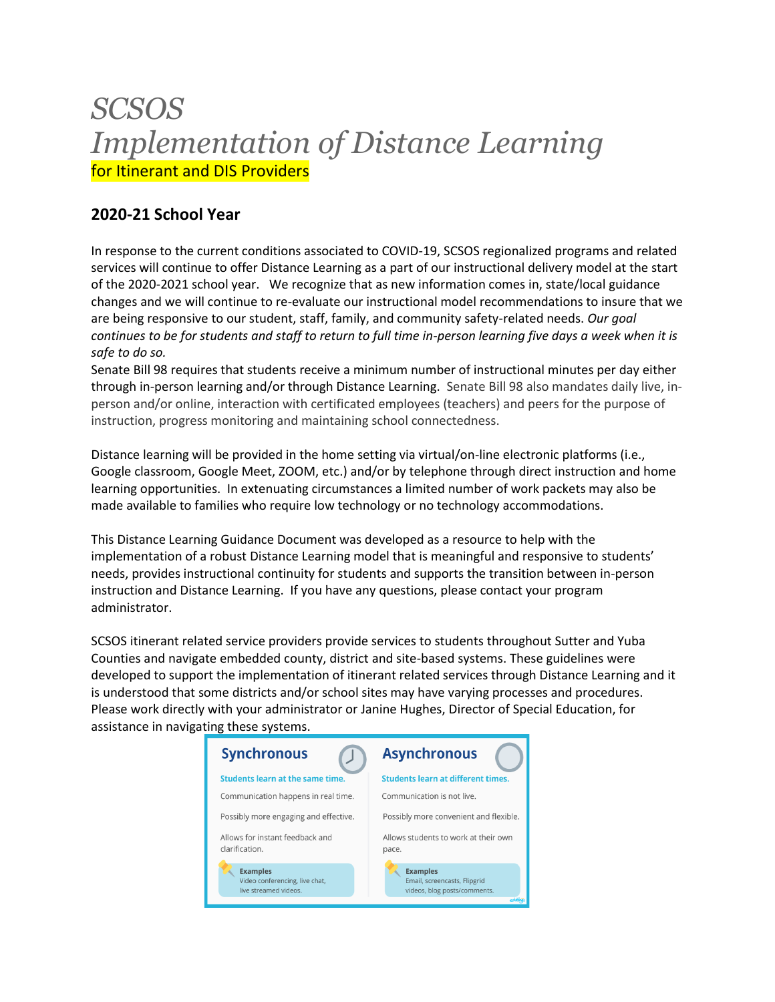# *SCSOS Implementation of Distance Learning*  for Itinerant and DIS Providers

# **2020-21 School Year**

In response to the current conditions associated to COVID-19, SCSOS regionalized programs and related services will continue to offer Distance Learning as a part of our instructional delivery model at the start of the 2020-2021 school year. We recognize that as new information comes in, state/local guidance changes and we will continue to re-evaluate our instructional model recommendations to insure that we are being responsive to our student, staff, family, and community safety-related needs. *Our goal continues to be for students and staff to return to full time in-person learning five days a week when it is safe to do so.* 

Senate Bill 98 requires that students receive a minimum number of instructional minutes per day either through in-person learning and/or through Distance Learning. Senate Bill 98 also mandates daily live, inperson and/or online, interaction with certificated employees (teachers) and peers for the purpose of instruction, progress monitoring and maintaining school connectedness.

Distance learning will be provided in the home setting via virtual/on-line electronic platforms (i.e., Google classroom, Google Meet, ZOOM, etc.) and/or by telephone through direct instruction and home learning opportunities. In extenuating circumstances a limited number of work packets may also be made available to families who require low technology or no technology accommodations.

This Distance Learning Guidance Document was developed as a resource to help with the implementation of a robust Distance Learning model that is meaningful and responsive to students' needs, provides instructional continuity for students and supports the transition between in-person instruction and Distance Learning. If you have any questions, please contact your program administrator.

SCSOS itinerant related service providers provide services to students throughout Sutter and Yuba Counties and navigate embedded county, district and site-based systems. These guidelines were developed to support the implementation of itinerant related services through Distance Learning and it is understood that some districts and/or school sites may have varying processes and procedures. Please work directly with your administrator or Janine Hughes, Director of Special Education, for assistance in navigating these systems.

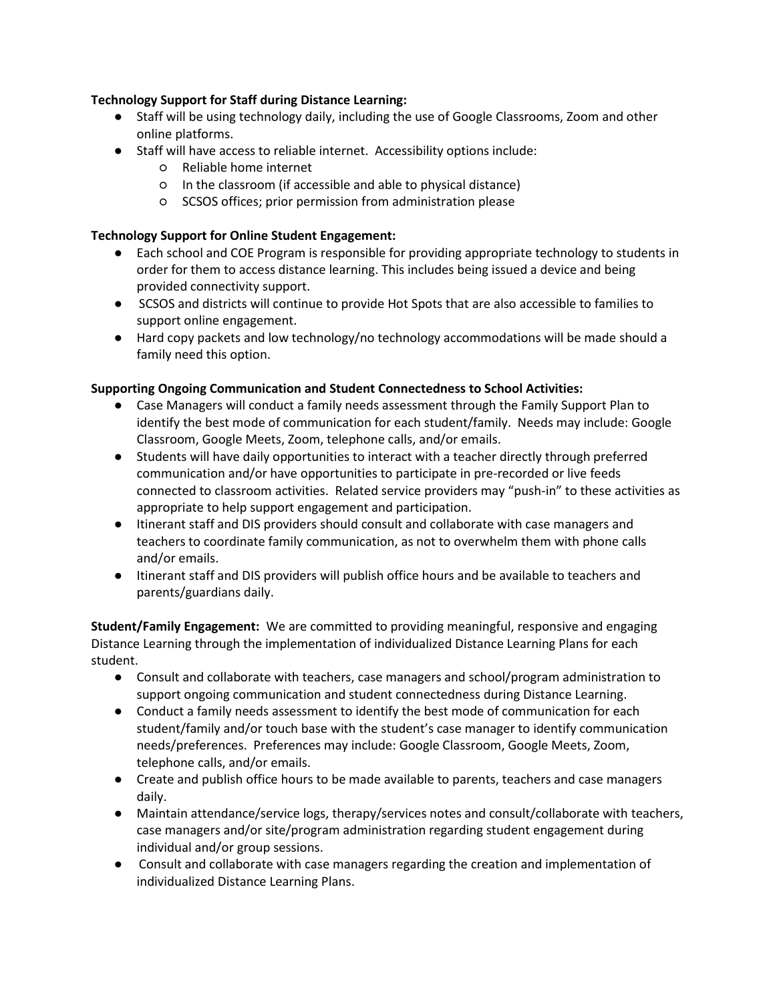# **Technology Support for Staff during Distance Learning:**

- Staff will be using technology daily, including the use of Google Classrooms, Zoom and other online platforms.
- Staff will have access to reliable internet. Accessibility options include:
	- Reliable home internet
	- In the classroom (if accessible and able to physical distance)
	- SCSOS offices; prior permission from administration please

# **Technology Support for Online Student Engagement:**

- Each school and COE Program is responsible for providing appropriate technology to students in order for them to access distance learning. This includes being issued a device and being provided connectivity support.
- SCSOS and districts will continue to provide Hot Spots that are also accessible to families to support online engagement.
- Hard copy packets and low technology/no technology accommodations will be made should a family need this option.

# **Supporting Ongoing Communication and Student Connectedness to School Activities:**

- Case Managers will conduct a family needs assessment through the Family Support Plan to identify the best mode of communication for each student/family. Needs may include: Google Classroom, Google Meets, Zoom, telephone calls, and/or emails.
- Students will have daily opportunities to interact with a teacher directly through preferred communication and/or have opportunities to participate in pre-recorded or live feeds connected to classroom activities. Related service providers may "push-in" to these activities as appropriate to help support engagement and participation.
- Itinerant staff and DIS providers should consult and collaborate with case managers and teachers to coordinate family communication, as not to overwhelm them with phone calls and/or emails.
- Itinerant staff and DIS providers will publish office hours and be available to teachers and parents/guardians daily.

**Student/Family Engagement:** We are committed to providing meaningful, responsive and engaging Distance Learning through the implementation of individualized Distance Learning Plans for each student.

- Consult and collaborate with teachers, case managers and school/program administration to support ongoing communication and student connectedness during Distance Learning.
- Conduct a family needs assessment to identify the best mode of communication for each student/family and/or touch base with the student's case manager to identify communication needs/preferences. Preferences may include: Google Classroom, Google Meets, Zoom, telephone calls, and/or emails.
- Create and publish office hours to be made available to parents, teachers and case managers daily.
- Maintain attendance/service logs, therapy/services notes and consult/collaborate with teachers, case managers and/or site/program administration regarding student engagement during individual and/or group sessions.
- Consult and collaborate with case managers regarding the creation and implementation of individualized Distance Learning Plans.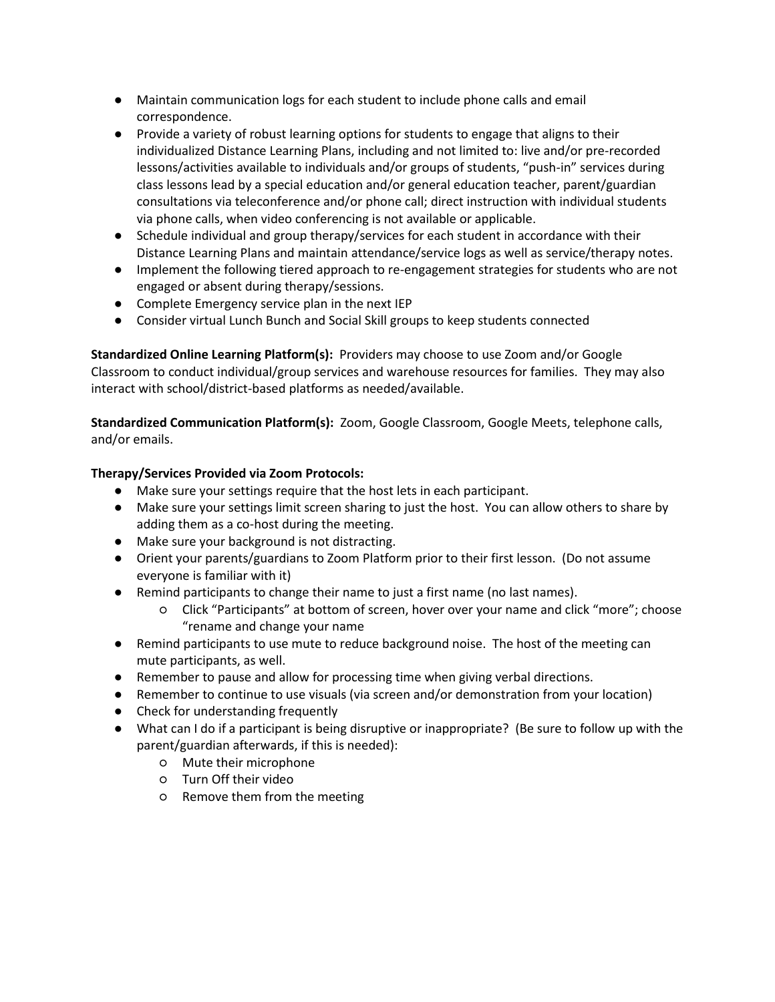- Maintain communication logs for each student to include phone calls and email correspondence.
- Provide a variety of robust learning options for students to engage that aligns to their individualized Distance Learning Plans, including and not limited to: live and/or pre-recorded lessons/activities available to individuals and/or groups of students, "push-in" services during class lessons lead by a special education and/or general education teacher, parent/guardian consultations via teleconference and/or phone call; direct instruction with individual students via phone calls, when video conferencing is not available or applicable.
- Schedule individual and group therapy/services for each student in accordance with their Distance Learning Plans and maintain attendance/service logs as well as service/therapy notes.
- Implement the following tiered approach to re-engagement strategies for students who are not engaged or absent during therapy/sessions.
- Complete Emergency service plan in the next IEP
- Consider virtual Lunch Bunch and Social Skill groups to keep students connected

**Standardized Online Learning Platform(s):** Providers may choose to use Zoom and/or Google Classroom to conduct individual/group services and warehouse resources for families. They may also interact with school/district-based platforms as needed/available.

**Standardized Communication Platform(s):** Zoom, Google Classroom, Google Meets, telephone calls, and/or emails.

# **Therapy/Services Provided via Zoom Protocols:**

- Make sure your settings require that the host lets in each participant.
- Make sure your settings limit screen sharing to just the host. You can allow others to share by adding them as a co-host during the meeting.
- Make sure your background is not distracting.
- Orient your parents/guardians to Zoom Platform prior to their first lesson. (Do not assume everyone is familiar with it)
- Remind participants to change their name to just a first name (no last names).
	- Click "Participants" at bottom of screen, hover over your name and click "more"; choose "rename and change your name
- Remind participants to use mute to reduce background noise. The host of the meeting can mute participants, as well.
- Remember to pause and allow for processing time when giving verbal directions.
- Remember to continue to use visuals (via screen and/or demonstration from your location)
- Check for understanding frequently
- What can I do if a participant is being disruptive or inappropriate? (Be sure to follow up with the parent/guardian afterwards, if this is needed):
	- Mute their microphone
	- Turn Off their video
	- Remove them from the meeting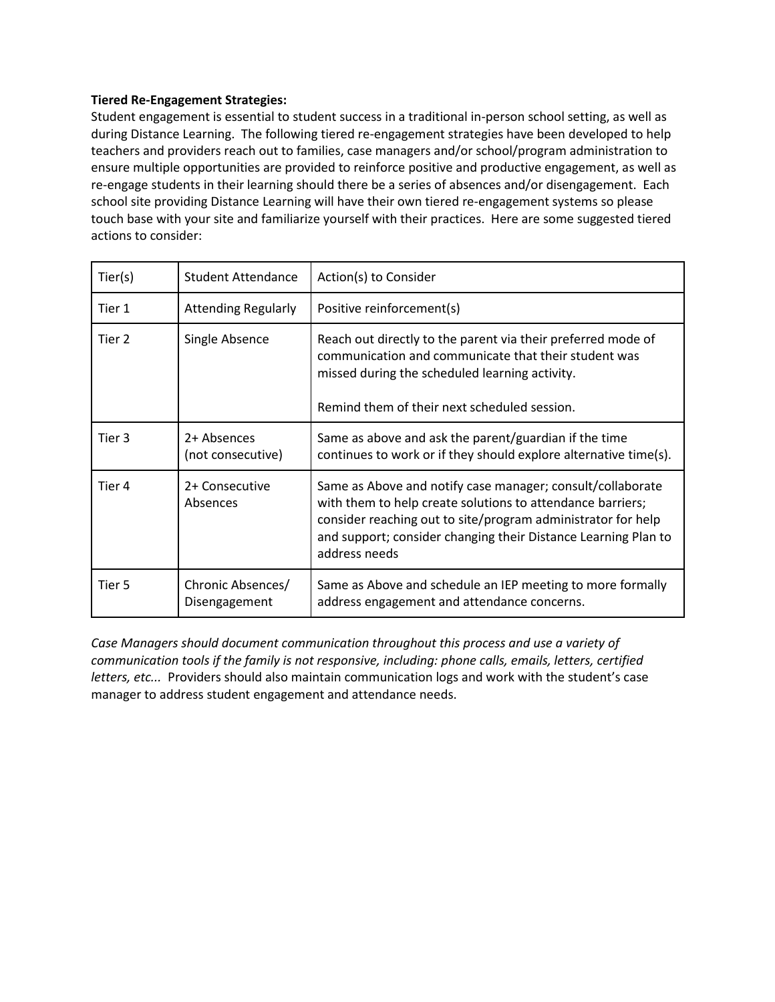#### **Tiered Re-Engagement Strategies:**

Student engagement is essential to student success in a traditional in-person school setting, as well as during Distance Learning. The following tiered re-engagement strategies have been developed to help teachers and providers reach out to families, case managers and/or school/program administration to ensure multiple opportunities are provided to reinforce positive and productive engagement, as well as re-engage students in their learning should there be a series of absences and/or disengagement. Each school site providing Distance Learning will have their own tiered re-engagement systems so please touch base with your site and familiarize yourself with their practices. Here are some suggested tiered actions to consider:

| Tier(s) | <b>Student Attendance</b>          | Action(s) to Consider                                                                                                                                                                                                                                                       |
|---------|------------------------------------|-----------------------------------------------------------------------------------------------------------------------------------------------------------------------------------------------------------------------------------------------------------------------------|
| Tier 1  | <b>Attending Regularly</b>         | Positive reinforcement(s)                                                                                                                                                                                                                                                   |
| Tier 2  | Single Absence                     | Reach out directly to the parent via their preferred mode of<br>communication and communicate that their student was<br>missed during the scheduled learning activity.<br>Remind them of their next scheduled session.                                                      |
| Tier 3  | 2+ Absences<br>(not consecutive)   | Same as above and ask the parent/guardian if the time<br>continues to work or if they should explore alternative time(s).                                                                                                                                                   |
| Tier 4  | 2+ Consecutive<br>Absences         | Same as Above and notify case manager; consult/collaborate<br>with them to help create solutions to attendance barriers;<br>consider reaching out to site/program administrator for help<br>and support; consider changing their Distance Learning Plan to<br>address needs |
| Tier 5  | Chronic Absences/<br>Disengagement | Same as Above and schedule an IEP meeting to more formally<br>address engagement and attendance concerns.                                                                                                                                                                   |

*Case Managers should document communication throughout this process and use a variety of communication tools if the family is not responsive, including: phone calls, emails, letters, certified letters, etc...* Providers should also maintain communication logs and work with the student's case manager to address student engagement and attendance needs.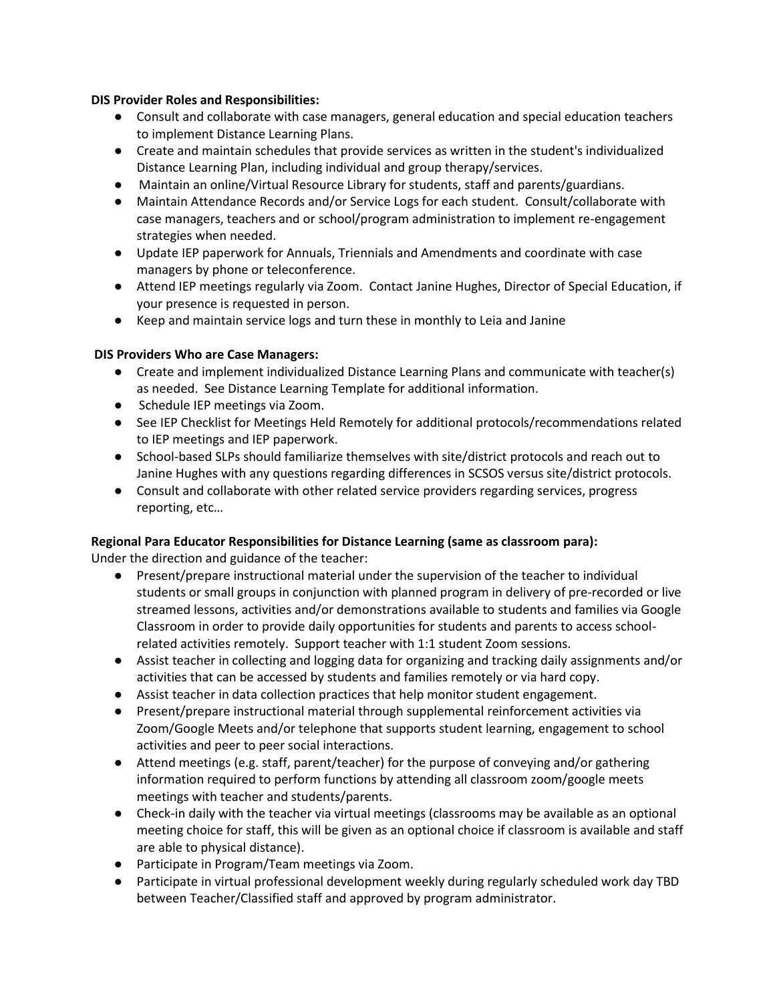### **DIS Provider Roles and Responsibilities:**

- Consult and collaborate with case managers, general education and special education teachers to implement Distance Learning Plans.
- Create and maintain schedules that provide services as written in the student's individualized Distance Learning Plan, including individual and group therapy/services.
- Maintain an online/Virtual Resource Library for students, staff and parents/guardians.
- Maintain Attendance Records and/or Service Logs for each student. Consult/collaborate with case managers, teachers and or school/program administration to implement re-engagement strategies when needed.
- Update IEP paperwork for Annuals, Triennials and Amendments and coordinate with case managers by phone or teleconference.
- Attend IEP meetings regularly via Zoom. Contact Janine Hughes, Director of Special Education, if your presence is requested in person.
- Keep and maintain service logs and turn these in monthly to Leia and Janine

# **DIS Providers Who are Case Managers:**

- Create and implement individualized Distance Learning Plans and communicate with teacher(s) as needed. See Distance Learning Template for additional information.
- Schedule IEP meetings via Zoom.
- See IEP Checklist for Meetings Held Remotely for additional protocols/recommendations related to IEP meetings and IEP paperwork.
- School-based SLPs should familiarize themselves with site/district protocols and reach out to Janine Hughes with any questions regarding differences in SCSOS versus site/district protocols.
- Consult and collaborate with other related service providers regarding services, progress reporting, etc…

# **Regional Para Educator Responsibilities for Distance Learning (same as classroom para):**

Under the direction and guidance of the teacher:

- Present/prepare instructional material under the supervision of the teacher to individual students or small groups in conjunction with planned program in delivery of pre-recorded or live streamed lessons, activities and/or demonstrations available to students and families via Google Classroom in order to provide daily opportunities for students and parents to access schoolrelated activities remotely. Support teacher with 1:1 student Zoom sessions.
- Assist teacher in collecting and logging data for organizing and tracking daily assignments and/or activities that can be accessed by students and families remotely or via hard copy.
- Assist teacher in data collection practices that help monitor student engagement.
- Present/prepare instructional material through supplemental reinforcement activities via Zoom/Google Meets and/or telephone that supports student learning, engagement to school activities and peer to peer social interactions.
- Attend meetings (e.g. staff, parent/teacher) for the purpose of conveying and/or gathering information required to perform functions by attending all classroom zoom/google meets meetings with teacher and students/parents.
- Check-in daily with the teacher via virtual meetings (classrooms may be available as an optional meeting choice for staff, this will be given as an optional choice if classroom is available and staff are able to physical distance).
- Participate in Program/Team meetings via Zoom.
- Participate in virtual professional development weekly during regularly scheduled work day TBD between Teacher/Classified staff and approved by program administrator.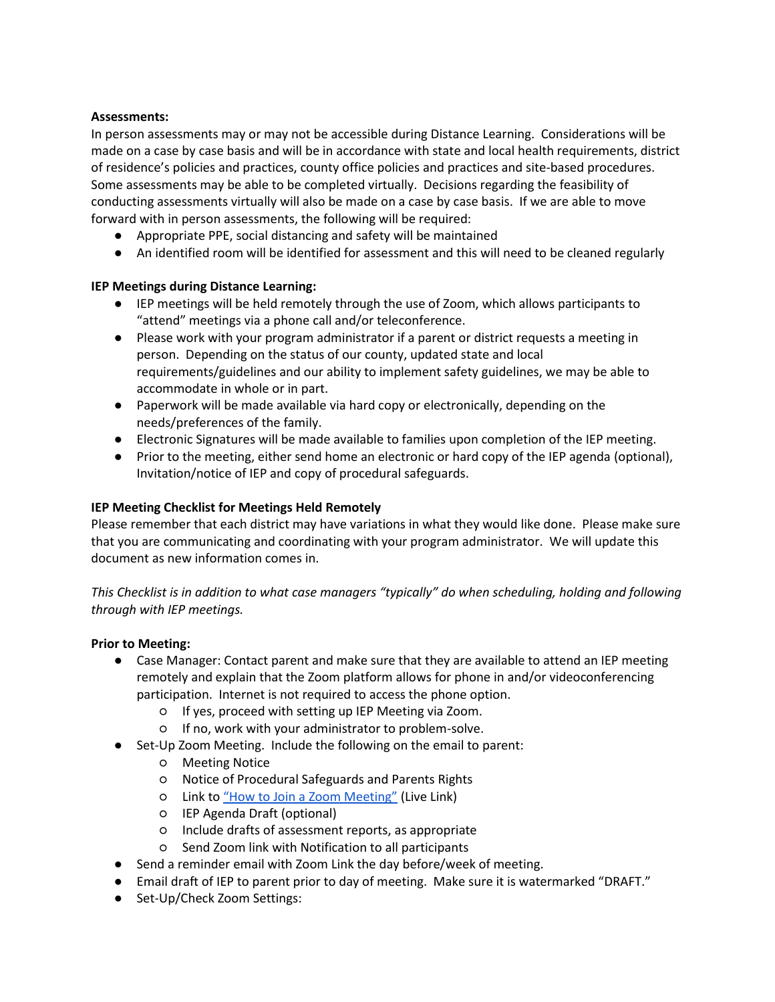### **Assessments:**

In person assessments may or may not be accessible during Distance Learning. Considerations will be made on a case by case basis and will be in accordance with state and local health requirements, district of residence's policies and practices, county office policies and practices and site-based procedures. Some assessments may be able to be completed virtually. Decisions regarding the feasibility of conducting assessments virtually will also be made on a case by case basis. If we are able to move forward with in person assessments, the following will be required:

- Appropriate PPE, social distancing and safety will be maintained
- An identified room will be identified for assessment and this will need to be cleaned regularly

# **IEP Meetings during Distance Learning:**

- IEP meetings will be held remotely through the use of Zoom, which allows participants to "attend" meetings via a phone call and/or teleconference.
- Please work with your program administrator if a parent or district requests a meeting in person. Depending on the status of our county, updated state and local requirements/guidelines and our ability to implement safety guidelines, we may be able to accommodate in whole or in part.
- Paperwork will be made available via hard copy or electronically, depending on the needs/preferences of the family.
- Electronic Signatures will be made available to families upon completion of the IEP meeting.
- Prior to the meeting, either send home an electronic or hard copy of the IEP agenda (optional), Invitation/notice of IEP and copy of procedural safeguards.

# **IEP Meeting Checklist for Meetings Held Remotely**

Please remember that each district may have variations in what they would like done. Please make sure that you are communicating and coordinating with your program administrator. We will update this document as new information comes in.

*This Checklist is in addition to what case managers "typically" do when scheduling, holding and following through with IEP meetings.* 

# **Prior to Meeting:**

- Case Manager: Contact parent and make sure that they are available to attend an IEP meeting remotely and explain that the Zoom platform allows for phone in and/or videoconferencing participation. Internet is not required to access the phone option.
	- If yes, proceed with setting up IEP Meeting via Zoom.
	- If no, work with your administrator to problem-solve.
- Set-Up Zoom Meeting. Include the following on the email to parent:
	- Meeting Notice
	- Notice of Procedural Safeguards and Parents Rights
	- Link to ["How to Join a Zoom Meeting"](https://docs.google.com/presentation/d/1x-7V0UkaPzwD_XUkDfzUxwtjx7hr73eQaq3Zi1vZ4MA/present?ueb=true#slide=id.g816f481baf_0_0) (Live Link)
	- IEP Agenda Draft (optional)
	- Include drafts of assessment reports, as appropriate
	- Send Zoom link with Notification to all participants
- Send a reminder email with Zoom Link the day before/week of meeting.
- Email draft of IEP to parent prior to day of meeting. Make sure it is watermarked "DRAFT."
- Set-Up/Check Zoom Settings: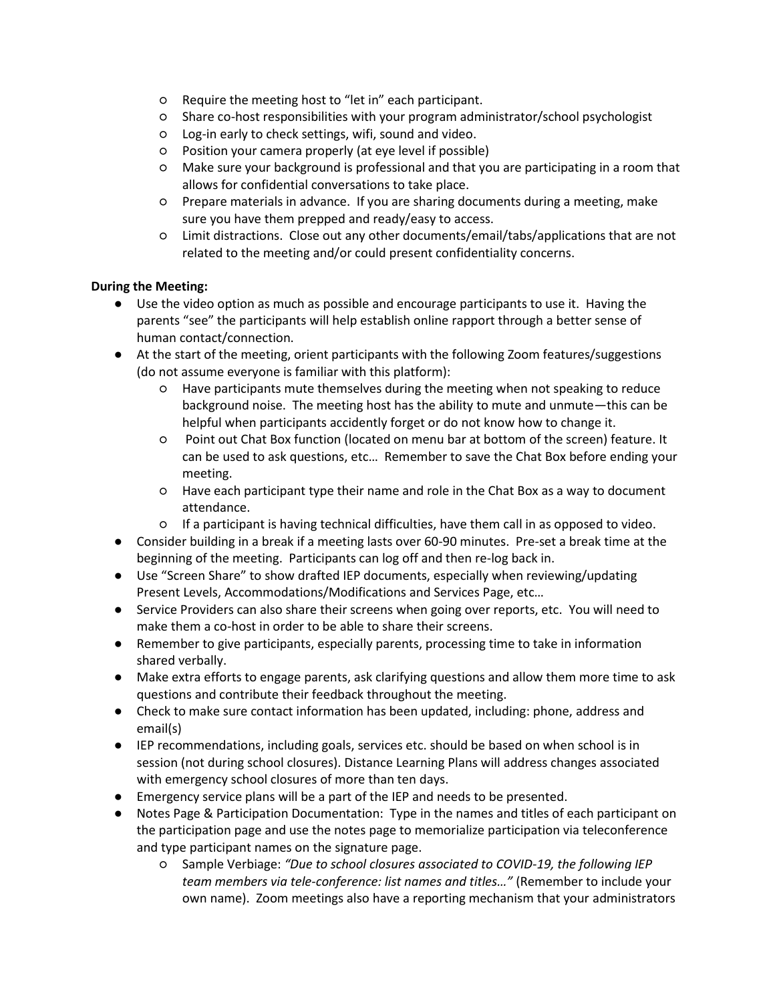- Require the meeting host to "let in" each participant.
- Share co-host responsibilities with your program administrator/school psychologist
- Log-in early to check settings, wifi, sound and video.
- Position your camera properly (at eye level if possible)
- Make sure your background is professional and that you are participating in a room that allows for confidential conversations to take place.
- Prepare materials in advance. If you are sharing documents during a meeting, make sure you have them prepped and ready/easy to access.
- Limit distractions. Close out any other documents/email/tabs/applications that are not related to the meeting and/or could present confidentiality concerns.

# **During the Meeting:**

- Use the video option as much as possible and encourage participants to use it. Having the parents "see" the participants will help establish online rapport through a better sense of human contact/connection.
- At the start of the meeting, orient participants with the following Zoom features/suggestions (do not assume everyone is familiar with this platform):
	- Have participants mute themselves during the meeting when not speaking to reduce background noise. The meeting host has the ability to mute and unmute—this can be helpful when participants accidently forget or do not know how to change it.
	- Point out Chat Box function (located on menu bar at bottom of the screen) feature. It can be used to ask questions, etc… Remember to save the Chat Box before ending your meeting.
	- Have each participant type their name and role in the Chat Box as a way to document attendance.
	- If a participant is having technical difficulties, have them call in as opposed to video.
- Consider building in a break if a meeting lasts over 60-90 minutes. Pre-set a break time at the beginning of the meeting. Participants can log off and then re-log back in.
- Use "Screen Share" to show drafted IEP documents, especially when reviewing/updating Present Levels, Accommodations/Modifications and Services Page, etc…
- Service Providers can also share their screens when going over reports, etc. You will need to make them a co-host in order to be able to share their screens.
- Remember to give participants, especially parents, processing time to take in information shared verbally.
- Make extra efforts to engage parents, ask clarifying questions and allow them more time to ask questions and contribute their feedback throughout the meeting.
- Check to make sure contact information has been updated, including: phone, address and email(s)
- IEP recommendations, including goals, services etc. should be based on when school is in session (not during school closures). Distance Learning Plans will address changes associated with emergency school closures of more than ten days.
- Emergency service plans will be a part of the IEP and needs to be presented.
- Notes Page & Participation Documentation: Type in the names and titles of each participant on the participation page and use the notes page to memorialize participation via teleconference and type participant names on the signature page.
	- Sample Verbiage: *"Due to school closures associated to COVID-19, the following IEP team members via tele-conference: list names and titles…"* (Remember to include your own name). Zoom meetings also have a reporting mechanism that your administrators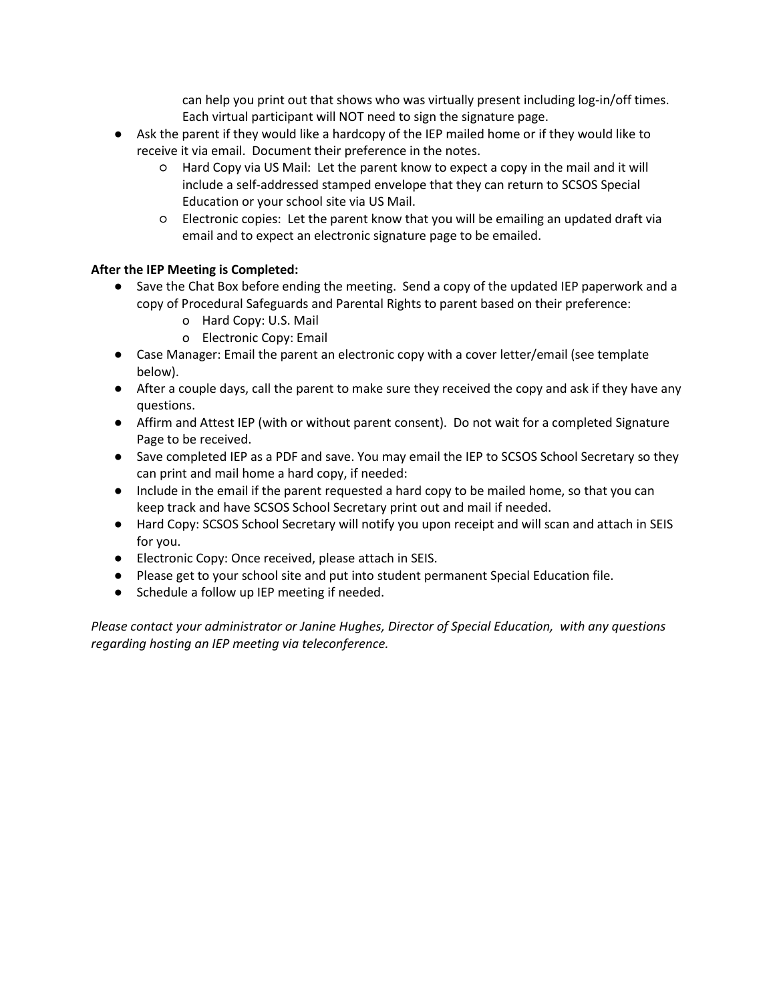can help you print out that shows who was virtually present including log-in/off times. Each virtual participant will NOT need to sign the signature page.

- Ask the parent if they would like a hardcopy of the IEP mailed home or if they would like to receive it via email. Document their preference in the notes.
	- Hard Copy via US Mail: Let the parent know to expect a copy in the mail and it will include a self-addressed stamped envelope that they can return to SCSOS Special Education or your school site via US Mail.
	- Electronic copies: Let the parent know that you will be emailing an updated draft via email and to expect an electronic signature page to be emailed.

# **After the IEP Meeting is Completed:**

- Save the Chat Box before ending the meeting. Send a copy of the updated IEP paperwork and a copy of Procedural Safeguards and Parental Rights to parent based on their preference:
	- o Hard Copy: U.S. Mail
	- o Electronic Copy: Email
- Case Manager: Email the parent an electronic copy with a cover letter/email (see template below).
- After a couple days, call the parent to make sure they received the copy and ask if they have any questions.
- Affirm and Attest IEP (with or without parent consent). Do not wait for a completed Signature Page to be received.
- Save completed IEP as a PDF and save. You may email the IEP to SCSOS School Secretary so they can print and mail home a hard copy, if needed:
- Include in the email if the parent requested a hard copy to be mailed home, so that you can keep track and have SCSOS School Secretary print out and mail if needed.
- Hard Copy: SCSOS School Secretary will notify you upon receipt and will scan and attach in SEIS for you.
- Electronic Copy: Once received, please attach in SEIS.
- Please get to your school site and put into student permanent Special Education file.
- Schedule a follow up IEP meeting if needed.

*Please contact your administrator or Janine Hughes, Director of Special Education, with any questions regarding hosting an IEP meeting via teleconference.*